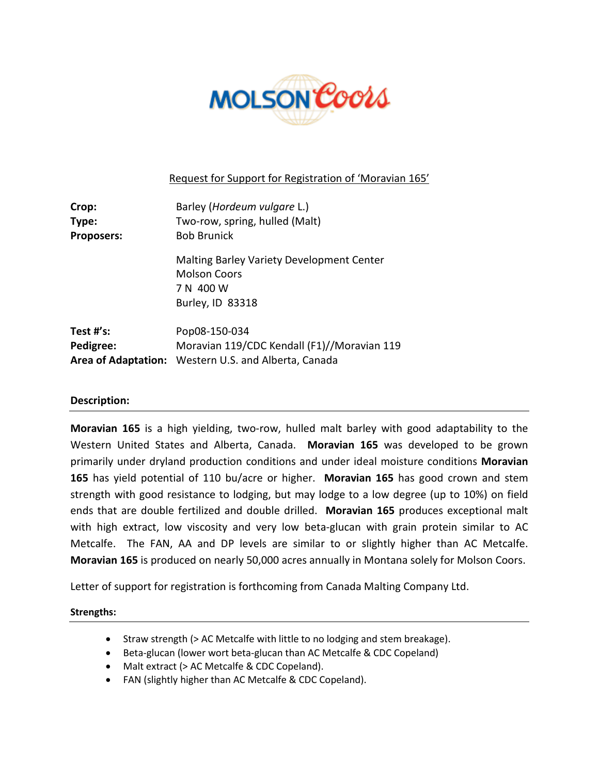

# Request for Support for Registration of 'Moravian 165'

| Crop:             | Barley (Hordeum vulgare L.)                          |
|-------------------|------------------------------------------------------|
| Type:             | Two-row, spring, hulled (Malt)                       |
| <b>Proposers:</b> | <b>Bob Brunick</b>                                   |
|                   | Malting Barley Variety Development Center            |
|                   | <b>Molson Coors</b>                                  |
|                   | 7 N 400 W                                            |
|                   | Burley, ID 83318                                     |
| Test #'s:         | Pop08-150-034                                        |
| Pedigree:         | Moravian 119/CDC Kendall (F1)//Moravian 119          |
|                   | Area of Adaptation: Western U.S. and Alberta, Canada |

## **Description:**

**Moravian 165** is a high yielding, two-row, hulled malt barley with good adaptability to the Western United States and Alberta, Canada. **Moravian 165** was developed to be grown primarily under dryland production conditions and under ideal moisture conditions **Moravian 165** has yield potential of 110 bu/acre or higher. **Moravian 165** has good crown and stem strength with good resistance to lodging, but may lodge to a low degree (up to 10%) on field ends that are double fertilized and double drilled. **Moravian 165** produces exceptional malt with high extract, low viscosity and very low beta-glucan with grain protein similar to AC Metcalfe. The FAN, AA and DP levels are similar to or slightly higher than AC Metcalfe. **Moravian 165** is produced on nearly 50,000 acres annually in Montana solely for Molson Coors.

Letter of support for registration is forthcoming from Canada Malting Company Ltd.

## **Strengths:**

- Straw strength (> AC Metcalfe with little to no lodging and stem breakage).
- Beta-glucan (lower wort beta-glucan than AC Metcalfe & CDC Copeland)
- Malt extract (> AC Metcalfe & CDC Copeland).
- FAN (slightly higher than AC Metcalfe & CDC Copeland).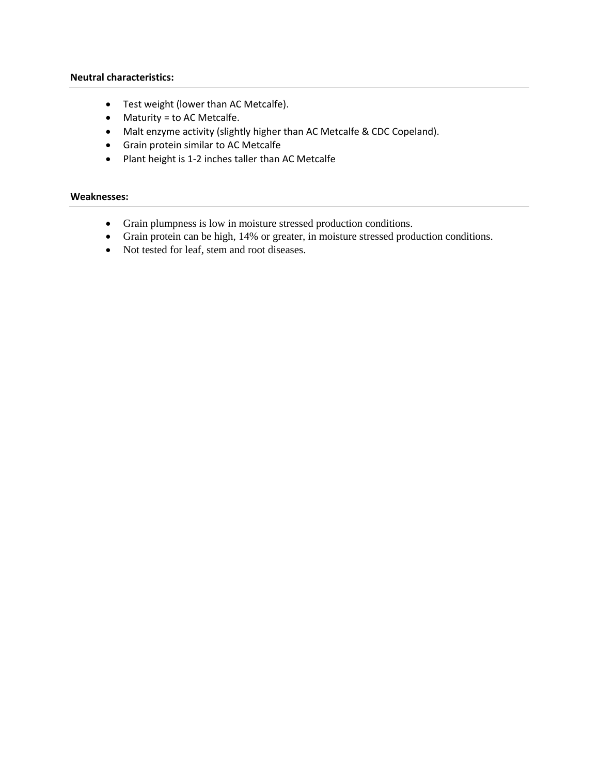#### **Neutral characteristics:**

- Test weight (lower than AC Metcalfe).
- Maturity = to AC Metcalfe.
- Malt enzyme activity (slightly higher than AC Metcalfe & CDC Copeland).
- Grain protein similar to AC Metcalfe
- Plant height is 1-2 inches taller than AC Metcalfe

#### **Weaknesses:**

- Grain plumpness is low in moisture stressed production conditions.
- Grain protein can be high, 14% or greater, in moisture stressed production conditions.
- Not tested for leaf, stem and root diseases.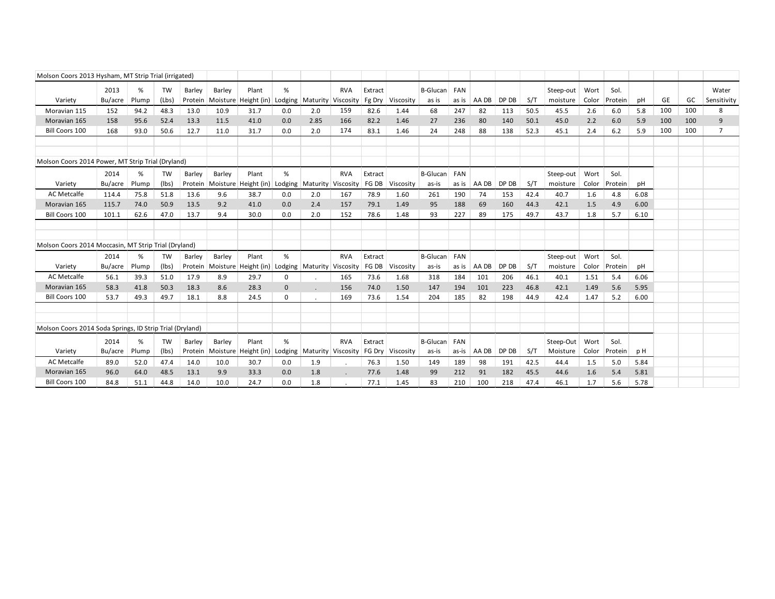| Molson Coors 2013 Hysham, MT Strip Trial (irrigated)     |                 |            |             |                   |        |                                                 |                |                    |                                   |                   |           |                   |              |       |       |      |                       |               |                 |      |     |     |                      |
|----------------------------------------------------------|-----------------|------------|-------------|-------------------|--------|-------------------------------------------------|----------------|--------------------|-----------------------------------|-------------------|-----------|-------------------|--------------|-------|-------|------|-----------------------|---------------|-----------------|------|-----|-----|----------------------|
| Variety                                                  | 2013<br>Bu/acre | %<br>Plump | TW<br>(Lbs) | Barley<br>Protein | Barley | Plant<br>Moisture Height (in)                   | %<br>Lodging   | Maturity Viscosity | <b>RVA</b>                        | Extract<br>Fg Dry | Viscosity | B-Glucan<br>as is | FAN<br>as is | AA DB | DP DB | S/T  | Steep-out<br>moisture | Wort<br>Color | Sol.<br>Protein | pH   | GE  | GC  | Water<br>Sensitivity |
| Moravian 115                                             | 152             | 94.2       | 48.3        | 13.0              | 10.9   | 31.7                                            | 0.0            | 2.0                | 159                               | 82.6              | 1.44      | 68                | 247          | 82    | 113   | 50.5 | 45.5                  | 2.6           | 6.0             | 5.8  | 100 | 100 | 8                    |
| Moravian 165                                             | 158             | 95.6       | 52.4        | 13.3              | 11.5   | 41.0                                            | 0.0            | 2.85               | 166                               | 82.2              | 1.46      | 27                | 236          | 80    | 140   | 50.1 | 45.0                  | 2.2           | 6.0             | 5.9  | 100 | 100 | 9                    |
| Bill Coors 100                                           | 168             | 93.0       | 50.6        | 12.7              | 11.0   | 31.7                                            | 0.0            | 2.0                | 174                               | 83.1              | 1.46      | 24                | 248          | 88    | 138   | 52.3 | 45.1                  | 2.4           | 6.2             | 5.9  | 100 | 100 | $\overline{7}$       |
|                                                          |                 |            |             |                   |        |                                                 |                |                    |                                   |                   |           |                   |              |       |       |      |                       |               |                 |      |     |     |                      |
|                                                          |                 |            |             |                   |        |                                                 |                |                    |                                   |                   |           |                   |              |       |       |      |                       |               |                 |      |     |     |                      |
| Molson Coors 2014 Power, MT Strip Trial (Dryland)        |                 |            |             |                   |        |                                                 |                |                    |                                   |                   |           |                   |              |       |       |      |                       |               |                 |      |     |     |                      |
|                                                          | 2014            | %          | <b>TW</b>   | Barley            | Barley | Plant                                           | %              |                    | <b>RVA</b>                        | Extract           |           | B-Glucan          | FAN          |       |       |      | Steep-out             | Wort          | Sol.            |      |     |     |                      |
| Variety                                                  | Bu/acre         | Plump      | (lbs)       | Protein           |        | Moisture Height (in)                            | Lodging        |                    | Maturity Viscosity                | FG DB             | Viscosity | as-is             | as is        | AA DB | DP DB | S/T  | moisture              | Color         | Protein         | pH   |     |     |                      |
| AC Metcalfe                                              | 114.4           | 75.8       | 51.8        | 13.6              | 9.6    | 38.7                                            | 0.0            | 2.0                | 167                               | 78.9              | 1.60      | 261               | 190          | 74    | 153   | 42.4 | 40.7                  | 1.6           | 4.8             | 6.08 |     |     |                      |
| Moravian 165                                             | 115.7           | 74.0       | 50.9        | 13.5              | 9.2    | 41.0                                            | 0.0            | 2.4                | 157                               | 79.1              | 1.49      | 95                | 188          | 69    | 160   | 44.3 | 42.1                  | 1.5           | 4.9             | 6.00 |     |     |                      |
| Bill Coors 100                                           | 101.1           | 62.6       | 47.0        | 13.7              | 9.4    | 30.0                                            | 0.0            | 2.0                | 152                               | 78.6              | 1.48      | 93                | 227          | 89    | 175   | 49.7 | 43.7                  | 1.8           | 5.7             | 6.10 |     |     |                      |
|                                                          |                 |            |             |                   |        |                                                 |                |                    |                                   |                   |           |                   |              |       |       |      |                       |               |                 |      |     |     |                      |
|                                                          |                 |            |             |                   |        |                                                 |                |                    |                                   |                   |           |                   |              |       |       |      |                       |               |                 |      |     |     |                      |
| Molson Coors 2014 Moccasin, MT Strip Trial (Dryland)     |                 |            |             |                   |        |                                                 |                |                    |                                   |                   |           |                   |              |       |       |      |                       |               |                 |      |     |     |                      |
|                                                          | 2014            | %          | TW          | Barley            | Barley | Plant                                           | %              |                    | <b>RVA</b>                        | Extract           |           | B-Glucan          | FAN          |       |       |      | Steep-out             | Wort          | Sol.            |      |     |     |                      |
| Variety                                                  | Bu/acre         | Plump      | (lbs)       | Protein           |        | Moisture Height (in) Lodging Maturity Viscosity |                |                    |                                   | FG DB             | Viscosity | as-is             | as is        | AA DB | DP DB | S/T  | moisture              | Color         | Protein         | pH   |     |     |                      |
| AC Metcalfe                                              | 56.1            | 39.3       | 51.0        | 17.9              | 8.9    | 29.7                                            | $\mathbf 0$    |                    | 165                               | 73.6              | 1.68      | 318               | 184          | 101   | 206   | 46.1 | 40.1                  | 1.51          | 5.4             | 6.06 |     |     |                      |
| Moravian 165                                             | 58.3            | 41.8       | 50.3        | 18.3              | 8.6    | 28.3                                            | $\overline{0}$ |                    | 156                               | 74.0              | 1.50      | 147               | 194          | 101   | 223   | 46.8 | 42.1                  | 1.49          | 5.6             | 5.95 |     |     |                      |
| Bill Coors 100                                           | 53.7            | 49.3       | 49.7        | 18.1              | 8.8    | 24.5                                            | $\mathbf 0$    |                    | 169                               | 73.6              | 1.54      | 204               | 185          | 82    | 198   | 44.9 | 42.4                  | 1.47          | 5.2             | 6.00 |     |     |                      |
|                                                          |                 |            |             |                   |        |                                                 |                |                    |                                   |                   |           |                   |              |       |       |      |                       |               |                 |      |     |     |                      |
|                                                          |                 |            |             |                   |        |                                                 |                |                    |                                   |                   |           |                   |              |       |       |      |                       |               |                 |      |     |     |                      |
| Molson Coors 2014 Soda Springs, ID Strip Trial (Dryland) |                 |            |             |                   |        |                                                 |                |                    |                                   |                   |           |                   |              |       |       |      |                       |               |                 |      |     |     |                      |
|                                                          | 2014            | %          | TW          | Barley            | Barley | Plant                                           | %              |                    | <b>RVA</b>                        | Extract           |           | B-Glucan          | FAN          |       |       |      | Steep-Out             | Wort          | Sol.            |      |     |     |                      |
| Variety                                                  | Bu/acre         | Plump      | (lbs)       | Protein           |        | Moisture   Height (in)                          |                |                    | Lodging Maturity Viscosity FG Dry |                   | Viscosity | as-is             | as-is        | AA DB | DP DB | S/T  | Moisture              | Color         | Protein         | p H  |     |     |                      |
| <b>AC Metcalfe</b>                                       | 89.0            | 52.0       | 47.4        | 14.0              | 10.0   | 30.7                                            | 0.0            | 1.9                |                                   | 76.3              | 1.50      | 149               | 189          | 98    | 191   | 42.5 | 44.4                  | 1.5           | 5.0             | 5.84 |     |     |                      |
| Moravian 165                                             | 96.0            | 64.0       | 48.5        | 13.1              | 9.9    | 33.3                                            | 0.0            | 1.8                |                                   | 77.6              | 1.48      | 99                | 212          | 91    | 182   | 45.5 | 44.6                  | 1.6           | 5.4             | 5.81 |     |     |                      |
| Bill Coors 100                                           | 84.8            | 51.1       | 44.8        | 14.0              | 10.0   | 24.7                                            | 0.0            | 1.8                |                                   | 77.1              | 1.45      | 83                | 210          | 100   | 218   | 47.4 | 46.1                  | 1.7           | 5.6             | 5.78 |     |     |                      |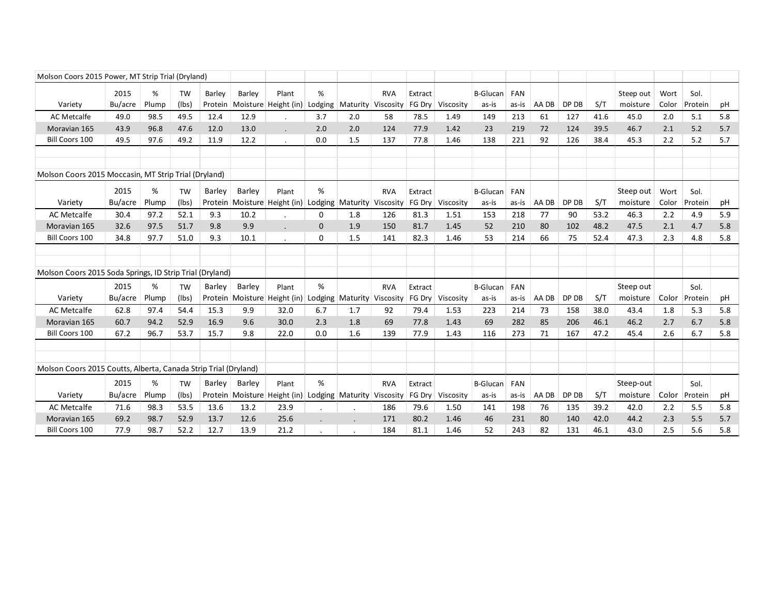| Molson Coors 2015 Power, MT Strip Trial (Dryland)               |                 |            |                    |                   |               |                                                                   |              |                    |            |                   |                           |                          |                     |       |       |      |                       |               |                 |     |
|-----------------------------------------------------------------|-----------------|------------|--------------------|-------------------|---------------|-------------------------------------------------------------------|--------------|--------------------|------------|-------------------|---------------------------|--------------------------|---------------------|-------|-------|------|-----------------------|---------------|-----------------|-----|
| Variety                                                         | 2015<br>Bu/acre | %<br>Plump | <b>TW</b><br>(lbs) | Barley<br>Protein | Barley        | Plant<br>Moisture Height (in)                                     | %<br>Lodging | Maturity Viscosity | <b>RVA</b> | Extract<br>FG Dry | Viscosity                 | <b>B-Glucan</b><br>as-is | <b>FAN</b><br>as-is | AA DB | DP DB | S/T  | Steep out<br>moisture | Wort<br>Color | Sol.<br>Protein | рH  |
| <b>AC Metcalfe</b>                                              | 49.0            | 98.5       | 49.5               | 12.4              | 12.9          |                                                                   | 3.7          | 2.0                | 58         | 78.5              | 1.49                      | 149                      | 213                 | 61    | 127   | 41.6 | 45.0                  | 2.0           | 5.1             | 5.8 |
| Moravian 165                                                    | 43.9            | 96.8       | 47.6               | 12.0              | 13.0          |                                                                   | 2.0          | 2.0                | 124        | 77.9              | 1.42                      | 23                       | 219                 | 72    | 124   | 39.5 | 46.7                  | 2.1           | 5.2             | 5.7 |
| <b>Bill Coors 100</b>                                           | 49.5            | 97.6       | 49.2               | 11.9              | 12.2          |                                                                   | 0.0          | 1.5                | 137        | 77.8              | 1.46                      | 138                      | 221                 | 92    | 126   | 38.4 | 45.3                  | 2.2           | 5.2             | 5.7 |
|                                                                 |                 |            |                    |                   |               |                                                                   |              |                    |            |                   |                           |                          |                     |       |       |      |                       |               |                 |     |
| Molson Coors 2015 Moccasin, MT Strip Trial (Dryland)            |                 |            |                    |                   |               |                                                                   |              |                    |            |                   |                           |                          |                     |       |       |      |                       |               |                 |     |
|                                                                 | 2015            | %          | <b>TW</b>          | Barley            | Barley        | Plant                                                             | %            |                    | <b>RVA</b> | Extract           |                           | <b>B-Glucan</b>          | <b>FAN</b>          |       |       |      | Steep out             | Wort          | Sol.            |     |
| Variety                                                         | Bu/acre         | Plump      | (lbs)              |                   |               | Protein Moisture Height (in)                                      | Lodging      | Maturity Viscosity |            | FG Dry            | Viscosity                 | as-is                    | as-is               | AA DB | DP DB | S/T  | moisture              | Color         | Protein         | pH  |
| <b>AC Metcalfe</b>                                              | 30.4            | 97.2       | 52.1               | 9.3               | 10.2          |                                                                   | 0            | 1.8                | 126        | 81.3              | 1.51                      | 153                      | 218                 | 77    | 90    | 53.2 | 46.3                  | 2.2           | 4.9             | 5.9 |
| Moravian 165                                                    | 32.6            | 97.5       | 51.7               | 9.8               | 9.9           |                                                                   | $\mathbf 0$  | 1.9                | 150        | 81.7              | 1.45                      | 52                       | 210                 | 80    | 102   | 48.2 | 47.5                  | 2.1           | 4.7             | 5.8 |
| Bill Coors 100                                                  | 34.8            | 97.7       | 51.0               | 9.3               | 10.1          |                                                                   | 0            | 1.5                | 141        | 82.3              | 1.46                      | 53                       | 214                 | 66    | 75    | 52.4 | 47.3                  | 2.3           | 4.8             | 5.8 |
|                                                                 |                 |            |                    |                   |               |                                                                   |              |                    |            |                   |                           |                          |                     |       |       |      |                       |               |                 |     |
|                                                                 |                 |            |                    |                   |               |                                                                   |              |                    |            |                   |                           |                          |                     |       |       |      |                       |               |                 |     |
| Molson Coors 2015 Soda Springs, ID Strip Trial (Dryland)        |                 |            |                    |                   |               |                                                                   |              |                    |            |                   |                           |                          |                     |       |       |      |                       |               |                 |     |
|                                                                 | 2015            | %          | <b>TW</b>          | Barley            | <b>Barley</b> | Plant                                                             | %            |                    | <b>RVA</b> | Extract           |                           | <b>B-Glucan</b>          | FAN                 |       |       |      | Steep out             |               | Sol.            |     |
| Variety                                                         | Bu/acre         | Plump      | (lbs)              |                   |               | Protein Moisture Height (in)                                      | Lodging      | Maturity Viscosity |            | FG Dry            | Viscosity                 | as-is                    | as-is               | AA DB | DP DB | S/T  | moisture              | Color         | Protein         | pH  |
| <b>AC Metcalfe</b>                                              | 62.8            | 97.4       | 54.4               | 15.3              | 9.9           | 32.0                                                              | 6.7          | 1.7                | 92         | 79.4              | 1.53                      | 223                      | 214                 | 73    | 158   | 38.0 | 43.4                  | 1.8           | 5.3             | 5.8 |
| Moravian 165                                                    | 60.7            | 94.2       | 52.9               | 16.9              | 9.6           | 30.0                                                              | 2.3          | 1.8                | 69         | 77.8              | 1.43                      | 69                       | 282                 | 85    | 206   | 46.1 | 46.2                  | 2.7           | 6.7             | 5.8 |
| Bill Coors 100                                                  | 67.2            | 96.7       | 53.7               | 15.7              | 9.8           | 22.0                                                              | 0.0          | 1.6                | 139        | 77.9              | 1.43                      | 116                      | 273                 | 71    | 167   | 47.2 | 45.4                  | 2.6           | 6.7             | 5.8 |
|                                                                 |                 |            |                    |                   |               |                                                                   |              |                    |            |                   |                           |                          |                     |       |       |      |                       |               |                 |     |
|                                                                 |                 |            |                    |                   |               |                                                                   |              |                    |            |                   |                           |                          |                     |       |       |      |                       |               |                 |     |
| Molson Coors 2015 Coutts, Alberta, Canada Strip Trial (Dryland) |                 |            |                    |                   |               |                                                                   |              |                    |            |                   |                           |                          |                     |       |       |      |                       |               |                 |     |
|                                                                 | 2015            | %          | <b>TW</b>          | Barley            | Barley        | Plant                                                             | %            |                    | <b>RVA</b> | Extract           |                           | <b>B-Glucan</b>          | FAN                 |       |       |      | Steep-out             |               | Sol.            |     |
| Variety                                                         | Bu/acre         | Plump      | (lbs)              |                   |               | Protein   Moisture   Height (in)   Lodging   Maturity   Viscosity |              |                    |            |                   | <b>FG Dry   Viscosity</b> | as-is                    | as-is               | AA DB | DP DB | S/T  | moisture              | Color         | Protein         | рH  |
| <b>AC Metcalfe</b>                                              | 71.6            | 98.3       | 53.5               | 13.6              | 13.2          | 23.9                                                              |              |                    | 186        | 79.6              | 1.50                      | 141                      | 198                 | 76    | 135   | 39.2 | 42.0                  | 2.2           | 5.5             | 5.8 |
| Moravian 165                                                    | 69.2            | 98.7       | 52.9               | 13.7              | 12.6          | 25.6                                                              |              |                    | 171        | 80.2              | 1.46                      | 46                       | 231                 | 80    | 140   | 42.0 | 44.2                  | 2.3           | 5.5             | 5.7 |
| Bill Coors 100                                                  | 77.9            | 98.7       | 52.2               | 12.7              | 13.9          | 21.2                                                              |              |                    | 184        | 81.1              | 1.46                      | 52                       | 243                 | 82    | 131   | 46.1 | 43.0                  | 2.5           | 5.6             | 5.8 |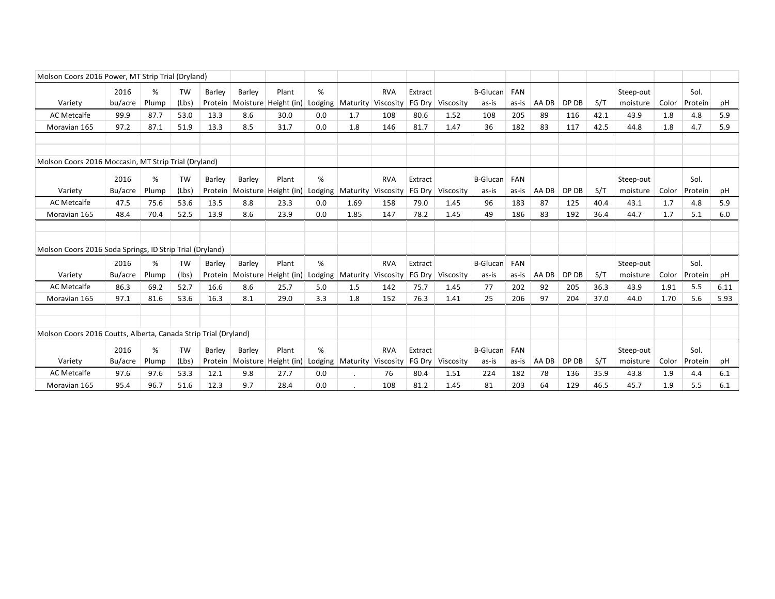| Molson Coors 2016 Power, MT Strip Trial (Dryland)               |                 |            |                    |                   |                    |                                           |              |                                |                                  |                   |           |                          |                     |       |       |      |                       |       |                 |      |
|-----------------------------------------------------------------|-----------------|------------|--------------------|-------------------|--------------------|-------------------------------------------|--------------|--------------------------------|----------------------------------|-------------------|-----------|--------------------------|---------------------|-------|-------|------|-----------------------|-------|-----------------|------|
| Variety                                                         | 2016<br>bu/acre | %<br>Plump | <b>TW</b><br>(Lbs) | Barley<br>Protein | Barley             | Plant<br>Moisture Height (in)             | %<br>Lodging |                                | <b>RVA</b><br>Maturity Viscosity | Extract<br>FG Drv | Viscosity | <b>B-Glucan</b><br>as-is | FAN<br>as-is        | AA DB | DP DB | S/T  | Steep-out<br>moisture | Color | Sol.<br>Protein | рH   |
| AC Metcalfe                                                     | 99.9            | 87.7       | 53.0               | 13.3              | 8.6                | 30.0                                      | 0.0          | 1.7                            | 108                              | 80.6              | 1.52      | 108                      | 205                 | 89    | 116   | 42.1 | 43.9                  | 1.8   | 4.8             | 5.9  |
| Moravian 165                                                    | 97.2            | 87.1       | 51.9               | 13.3              | 8.5                | 31.7                                      | 0.0          | 1.8                            | 146                              | 81.7              | 1.47      | 36                       | 182                 | 83    | 117   | 42.5 | 44.8                  | 1.8   | 4.7             | 5.9  |
| Molson Coors 2016 Moccasin, MT Strip Trial (Dryland)            |                 |            |                    |                   |                    |                                           |              |                                |                                  |                   |           |                          |                     |       |       |      |                       |       |                 |      |
| Variety                                                         | 2016<br>Bu/acre | %<br>Plump | TW<br>(Lbs)        | Barley<br>Protein | Barley             | Plant<br>Moisture Height (in)             | %<br>Lodging |                                | <b>RVA</b><br>Maturity Viscosity | Extract<br>FG Drv | Viscosity | <b>B-Glucan</b><br>as-is | FAN<br>as-is        | AA DB | DP DB | S/T  | Steep-out<br>moisture | Color | Sol.<br>Protein | рH   |
| AC Metcalfe                                                     | 47.5            | 75.6       | 53.6               | 13.5              | 8.8                | 23.3                                      | 0.0          | 1.69                           | 158                              | 79.0              | 1.45      | 96                       | 183                 | 87    | 125   | 40.4 | 43.1                  | 1.7   | 4.8             | 5.9  |
| Moravian 165                                                    | 48.4            | 70.4       | 52.5               | 13.9              | 8.6                | 23.9                                      | 0.0          | 1.85                           | 147                              | 78.2              | 1.45      | 49                       | 186                 | 83    | 192   | 36.4 | 44.7                  | 1.7   | 5.1             | 6.0  |
| Molson Coors 2016 Soda Springs, ID Strip Trial (Dryland)        |                 |            |                    |                   |                    |                                           |              |                                |                                  |                   |           |                          |                     |       |       |      |                       |       |                 |      |
| Variety                                                         | 2016<br>Bu/acre | %<br>Plump | <b>TW</b><br>(lbs) | Barley<br>Protein | Barley<br>Moisture | Plant<br>Height (in)                      | %<br>Lodging |                                | <b>RVA</b><br>Maturity Viscosity | Extract<br>FG Drv | Viscosity | <b>B-Glucan</b><br>as-is | <b>FAN</b><br>as-is | AA DB | DP DB | S/T  | Steep-out<br>moisture | Color | Sol.<br>Protein | рH   |
| AC Metcalfe                                                     | 86.3            | 69.2       | 52.7               | 16.6              | 8.6                | 25.7                                      | 5.0          | 1.5                            | 142                              | 75.7              | 1.45      | 77                       | 202                 | 92    | 205   | 36.3 | 43.9                  | 1.91  | 5.5             | 6.11 |
| Moravian 165                                                    | 97.1            | 81.6       | 53.6               | 16.3              | 8.1                | 29.0                                      | 3.3          | 1.8                            | 152                              | 76.3              | 1.41      | 25                       | 206                 | 97    | 204   | 37.0 | 44.0                  | 1.70  | 5.6             | 5.93 |
|                                                                 |                 |            |                    |                   |                    |                                           |              |                                |                                  |                   |           |                          |                     |       |       |      |                       |       |                 |      |
| Molson Coors 2016 Coutts, Alberta, Canada Strip Trial (Dryland) |                 |            |                    |                   |                    |                                           |              |                                |                                  |                   |           |                          |                     |       |       |      |                       |       |                 |      |
| Variety                                                         | 2016<br>Bu/acre | %<br>Plump | <b>TW</b><br>(Lbs) | Barley            | Barley             | Plant<br>Protein   Moisture   Height (in) | %            | Lodging   Maturity   Viscosity | <b>RVA</b>                       | Extract<br>FG Dry | Viscosity | <b>B-Glucan</b><br>as-is | FAN<br>as-is        | AA DB | DP DB | S/T  | Steep-out<br>moisture | Color | Sol.<br>Protein | pH   |
| <b>AC Metcalfe</b>                                              | 97.6            | 97.6       | 53.3               | 12.1              | 9.8                | 27.7                                      | 0.0          |                                | 76                               | 80.4              | 1.51      | 224                      | 182                 | 78    | 136   | 35.9 | 43.8                  | 1.9   | 4.4             | 6.1  |
| Moravian 165                                                    | 95.4            | 96.7       | 51.6               | 12.3              | 9.7                | 28.4                                      | 0.0          |                                | 108                              | 81.2              | 1.45      | 81                       | 203                 | 64    | 129   | 46.5 | 45.7                  | 1.9   | 5.5             | 6.1  |